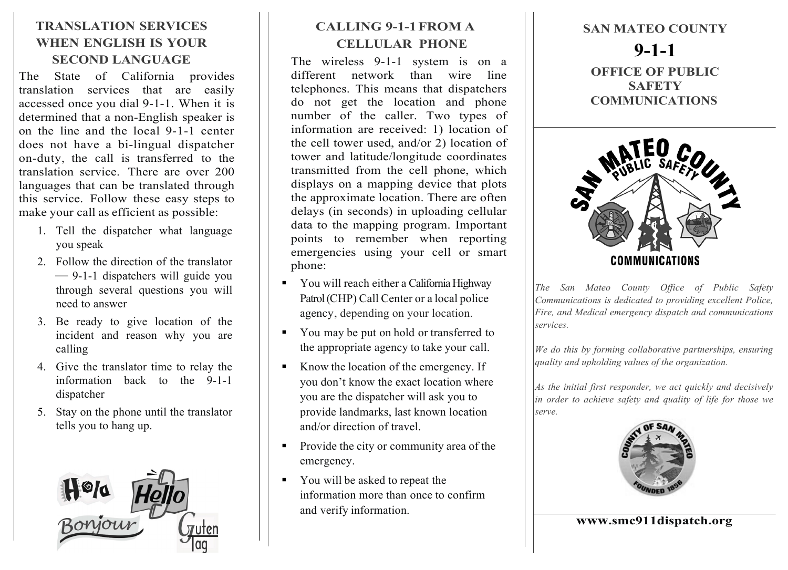## **TRANSLATION SERVICES WHEN ENGLISH IS YOUR SECOND LANGUAGE**

The State of California provides translation services that are easily accessed once you dial 9-1-1. When it is determined that a non-English speaker is on the line and the local 9-1-1 center does not have a bi-lingual dispatcher on-duty, the call is transferred to the translation service. There are over 200 languages that can be translated through this service. Follow these easy steps to make your call as efficient as possible:

- 1. Tell the dispatcher what language you speak
- 2. Follow the direction of the translator ⎯ 9-1-1 dispatchers will guide you through several questions you will need to answer
- 3. Be ready to give location of the incident and reason why you are calling
- 4. Give the translator time to relay the information back to the 9-1-1 dispatcher
- 5. Stay on the phone until the translator tells you to hang up.



## **CALLING 9-1-1FROM A CELLULAR PHONE**

The wireless 9-1-1 system is on a different network than wire line telephones. This means that dispatchers do not get the location and phone number of the caller. Two types of information are received: 1) location of the cell tower used, and/or 2) location of tower and latitude/longitude coordinates transmitted from the cell phone, which displays on a mapping device that plots the approximate location. There are often delays (in seconds) in uploading cellular data to the mapping program. Important points to remember when reporting emergencies using your cell or smart phone:

- § You will reach either a California Highway Patrol (CHP) Call Center or a local police agency, depending on your location.
- § You may be put on hold or transferred to the appropriate agency to take your call.
- § Know the location of the emergency. If you don't know the exact location where you are the dispatcher will ask you to provide landmarks, last known location and/or direction of travel.
- Provide the city or community area of the emergency.
- § You will be asked to repeat the information more than once to confirm and verify information.

**SAN MATEO COUNTY 9-1-1 OFFICE OF PUBLIC SAFETY COMMUNICATIONS**



*The San Mateo County Office of Public Safety Communications is dedicated to providing excellent Police, Fire, and Medical emergency dispatch and communications services.* 

*We do this by forming collaborative partnerships, ensuring quality and upholding values of the organization.* 

*As the initial first responder, we act quickly and decisively in order to achieve safety and quality of life for those we serve.*



**www.smc911dispatch.org**